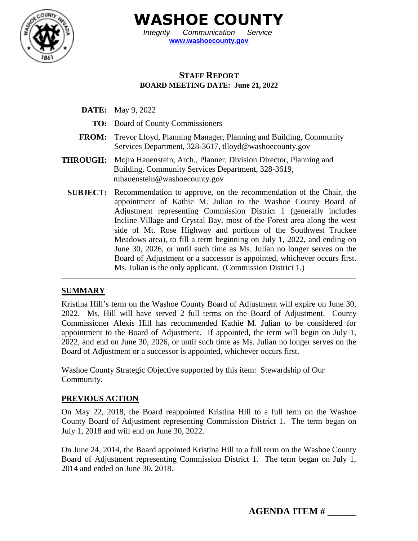

**WASHOE COUNTY**

*Integrity Communication Service* **[www.washoecounty.gov](http://www.washoecounty.gov/)**

## **STAFF REPORT BOARD MEETING DATE: June 21, 2022**

- **DATE:** May 9, 2022
	- **TO:** Board of County Commissioners
- **FROM:** Trevor Lloyd, Planning Manager, Planning and Building, Community Services Department, 328-3617, tlloyd@washoecounty.gov
- **THROUGH:** Mojra Hauenstein, Arch., Planner, Division Director, Planning and Building, Community Services Department, 328-3619, mhauenstein@washoecounty.gov
	- **SUBJECT:** Recommendation to approve, on the recommendation of the Chair, the appointment of Kathie M. Julian to the Washoe County Board of Adjustment representing Commission District 1 (generally includes Incline Village and Crystal Bay, most of the Forest area along the west side of Mt. Rose Highway and portions of the Southwest Truckee Meadows area), to fill a term beginning on July 1, 2022, and ending on June 30, 2026, or until such time as Ms. Julian no longer serves on the Board of Adjustment or a successor is appointed, whichever occurs first. Ms. Julian is the only applicant. (Commission District 1.)

# **SUMMARY**

Kristina Hill's term on the Washoe County Board of Adjustment will expire on June 30, 2022. Ms. Hill will have served 2 full terms on the Board of Adjustment. County Commissioner Alexis Hill has recommended Kathie M. Julian to be considered for appointment to the Board of Adjustment. If appointed, the term will begin on July 1, 2022, and end on June 30, 2026, or until such time as Ms. Julian no longer serves on the Board of Adjustment or a successor is appointed, whichever occurs first.

Washoe County Strategic Objective supported by this item: Stewardship of Our Community.

#### **PREVIOUS ACTION**

On May 22, 2018, the Board reappointed Kristina Hill to a full term on the Washoe County Board of Adjustment representing Commission District 1. The term began on July 1, 2018 and will end on June 30, 2022.

On June 24, 2014, the Board appointed Kristina Hill to a full term on the Washoe County Board of Adjustment representing Commission District 1. The term began on July 1, 2014 and ended on June 30, 2018.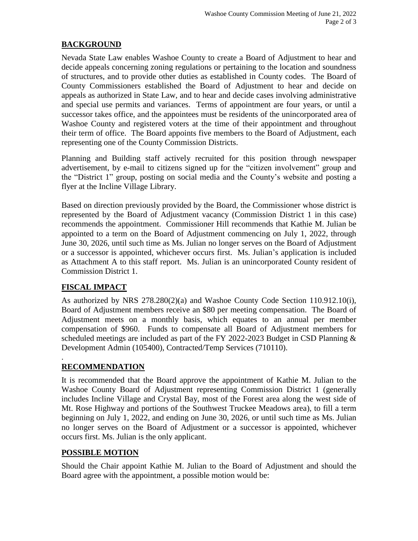### **BACKGROUND**

Nevada State Law enables Washoe County to create a Board of Adjustment to hear and decide appeals concerning zoning regulations or pertaining to the location and soundness of structures, and to provide other duties as established in County codes. The Board of County Commissioners established the Board of Adjustment to hear and decide on appeals as authorized in State Law, and to hear and decide cases involving administrative and special use permits and variances. Terms of appointment are four years, or until a successor takes office, and the appointees must be residents of the unincorporated area of Washoe County and registered voters at the time of their appointment and throughout their term of office. The Board appoints five members to the Board of Adjustment, each representing one of the County Commission Districts.

Planning and Building staff actively recruited for this position through newspaper advertisement, by e-mail to citizens signed up for the "citizen involvement" group and the "District 1" group, posting on social media and the County's website and posting a flyer at the Incline Village Library.

Based on direction previously provided by the Board, the Commissioner whose district is represented by the Board of Adjustment vacancy (Commission District 1 in this case) recommends the appointment. Commissioner Hill recommends that Kathie M. Julian be appointed to a term on the Board of Adjustment commencing on July 1, 2022, through June 30, 2026, until such time as Ms. Julian no longer serves on the Board of Adjustment or a successor is appointed, whichever occurs first. Ms. Julian's application is included as Attachment A to this staff report. Ms. Julian is an unincorporated County resident of Commission District 1.

# **FISCAL IMPACT**

As authorized by NRS 278.280(2)(a) and Washoe County Code Section 110.912.10(i), Board of Adjustment members receive an \$80 per meeting compensation. The Board of Adjustment meets on a monthly basis, which equates to an annual per member compensation of \$960. Funds to compensate all Board of Adjustment members for scheduled meetings are included as part of the FY 2022-2023 Budget in CSD Planning & Development Admin (105400), Contracted/Temp Services (710110).

#### . **RECOMMENDATION**

It is recommended that the Board approve the appointment of Kathie M. Julian to the Washoe County Board of Adjustment representing Commission District 1 (generally includes Incline Village and Crystal Bay, most of the Forest area along the west side of Mt. Rose Highway and portions of the Southwest Truckee Meadows area), to fill a term beginning on July 1, 2022, and ending on June 30, 2026, or until such time as Ms. Julian no longer serves on the Board of Adjustment or a successor is appointed, whichever occurs first. Ms. Julian is the only applicant.

#### **POSSIBLE MOTION**

Should the Chair appoint Kathie M. Julian to the Board of Adjustment and should the Board agree with the appointment, a possible motion would be: